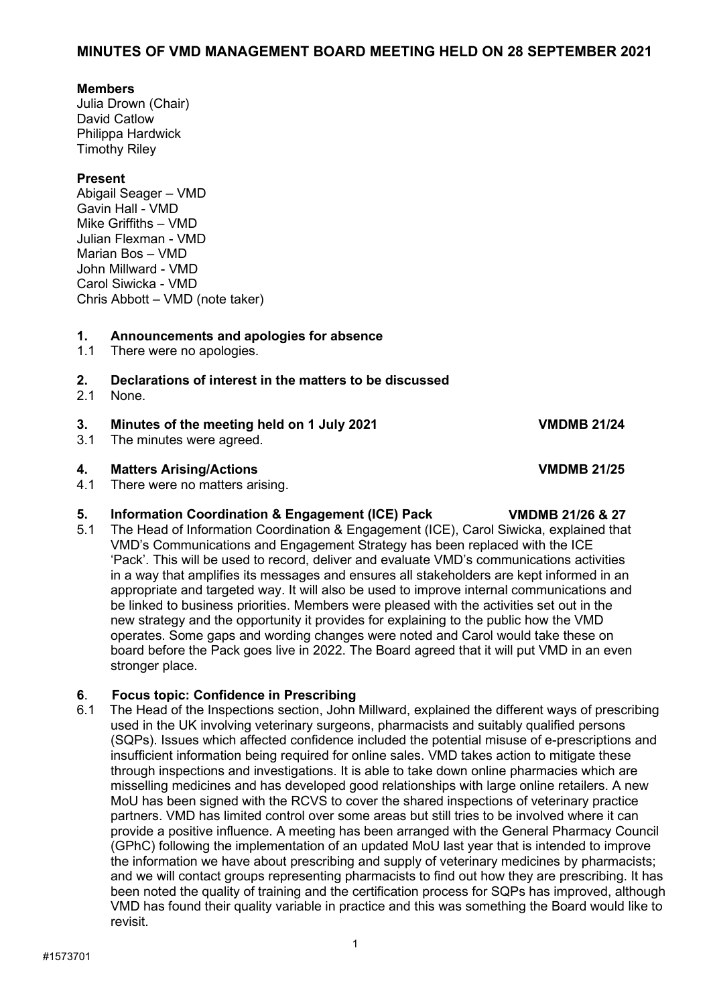### **MINUTES OF VMD MANAGEMENT BOARD MEETING HELD ON 28 SEPTEMBER 2021**

#### **Members**

Julia Drown (Chair) David Catlow Philippa Hardwick Timothy Riley

### **Present**

Abigail Seager – VMD Gavin Hall - VMD Mike Griffiths – VMD Julian Flexman - VMD Marian Bos – VMD John Millward - VMD Carol Siwicka - VMD Chris Abbott – VMD (note taker)

# **1. Announcements and apologies for absence**

There were no apologies.

# **2. Declarations of interest in the matters to be discussed**

None.

#### **3. Minutes of the meeting held on 1 July 2021 VMDMB 21/24**

3.1 The minutes were agreed.

#### **4. Matters Arising/Actions VMDMB 21/25**

4.1 There were no matters arising.

**5. Information Coordination & Engagement (ICE) Pack VMDMB 21/26 & 27** The Head of Information Coordination & Engagement (ICE), Carol Siwicka, explained that VMD's Communications and Engagement Strategy has been replaced with the ICE 'Pack'. This will be used to record, deliver and evaluate VMD's communications activities in a way that amplifies its messages and ensures all stakeholders are kept informed in an appropriate and targeted way. It will also be used to improve internal communications and be linked to business priorities. Members were pleased with the activities set out in the new strategy and the opportunity it provides for explaining to the public how the VMD operates. Some gaps and wording changes were noted and Carol would take these on board before the Pack goes live in 2022. The Board agreed that it will put VMD in an even stronger place.

### **6**. **Focus topic: Confidence in Prescribing**

6.1The Head of the Inspections section, John Millward, explained the different ways of prescribing used in the UK involving veterinary surgeons, pharmacists and suitably qualified persons (SQPs). Issues which affected confidence included the potential misuse of e-prescriptions and insufficient information being required for online sales. VMD takes action to mitigate these through inspections and investigations. It is able to take down online pharmacies which are misselling medicines and has developed good relationships with large online retailers. A new MoU has been signed with the RCVS to cover the shared inspections of veterinary practice partners. VMD has limited control over some areas but still tries to be involved where it can provide a positive influence. A meeting has been arranged with the General Pharmacy Council (GPhC) following the implementation of an updated MoU last year that is intended to improve the information we have about prescribing and supply of veterinary medicines by pharmacists; and we will contact groups representing pharmacists to find out how they are prescribing. It has been noted the quality of training and the certification process for SQPs has improved, although VMD has found their quality variable in practice and this was something the Board would like to revisit.